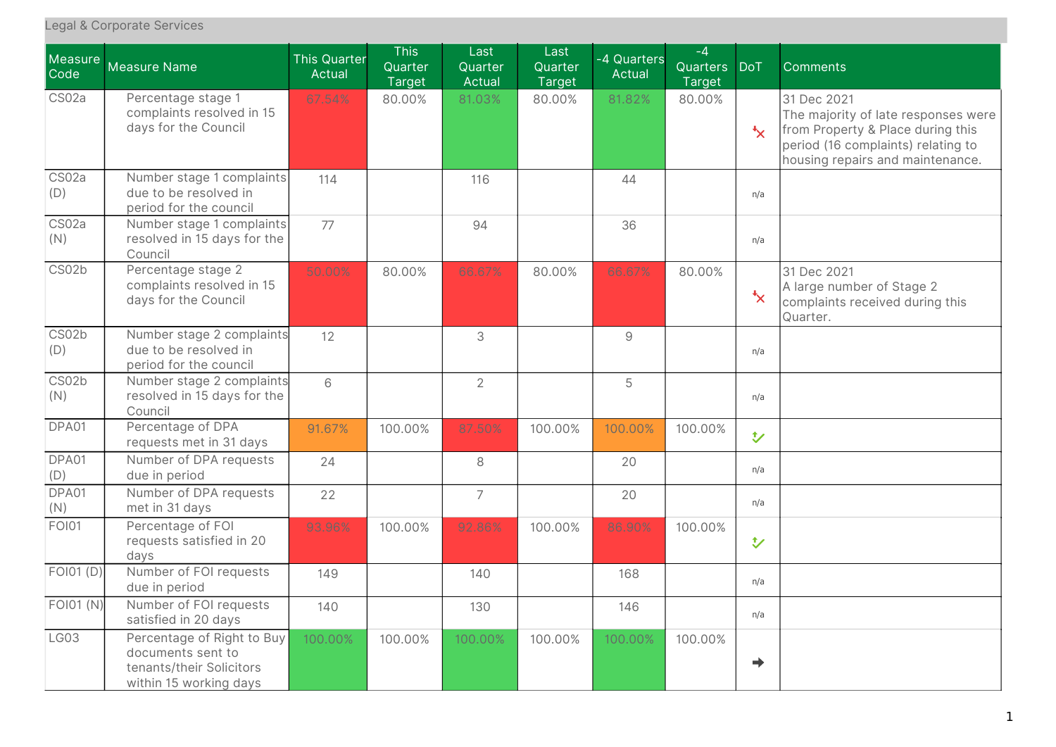| Measure<br>Code | <b>Measure Name</b>                                                                                   | <b>This Quarter</b><br>Actual | <b>This</b><br>Quarter<br><b>Target</b> | Last<br>Quarter<br>Actual | Last<br>Quarter<br><b>Target</b> | -4 Quarters<br>Actual | $-4$<br>Quarters<br><b>Target</b> | <b>DoT</b>    | Comments                                                                                                                                                          |
|-----------------|-------------------------------------------------------------------------------------------------------|-------------------------------|-----------------------------------------|---------------------------|----------------------------------|-----------------------|-----------------------------------|---------------|-------------------------------------------------------------------------------------------------------------------------------------------------------------------|
| CS02a           | Percentage stage 1<br>complaints resolved in 15<br>days for the Council                               | 67.54%                        | 80.00%                                  | 81.03%                    | 80.00%                           | 81.82%                | 80.00%                            | $\star$       | 31 Dec 2021<br>The majority of late responses were<br>from Property & Place during this<br>period (16 complaints) relating to<br>housing repairs and maintenance. |
| CS02a<br>(D)    | Number stage 1 complaints<br>due to be resolved in<br>period for the council                          | 114                           |                                         | 116                       |                                  | 44                    |                                   | n/a           |                                                                                                                                                                   |
| CS02a<br>(N)    | Number stage 1 complaints<br>resolved in 15 days for the<br>Council                                   | 77                            |                                         | 94                        |                                  | 36                    |                                   | n/a           |                                                                                                                                                                   |
| CS02b           | Percentage stage 2<br>complaints resolved in 15<br>days for the Council                               | 50.00%                        | 80.00%                                  | 66.67%                    | 80.00%                           | 66.67%                | 80.00%                            | $\mathbf{x}$  | 31 Dec 2021<br>A large number of Stage 2<br>complaints received during this<br>Quarter.                                                                           |
| CS02b<br>(D)    | Number stage 2 complaints<br>due to be resolved in<br>period for the council                          | 12                            |                                         | 3                         |                                  | 9                     |                                   | n/a           |                                                                                                                                                                   |
| CS02b<br>(N)    | Number stage 2 complaints<br>resolved in 15 days for the<br>Council                                   | 6                             |                                         | $\overline{2}$            |                                  | 5                     |                                   | n/a           |                                                                                                                                                                   |
| DPA01           | Percentage of DPA<br>requests met in 31 days                                                          | 91.67%                        | 100.00%                                 | 87.50%                    | 100.00%                          | 100.00%               | 100.00%                           | $\mathbf{t}$  |                                                                                                                                                                   |
| DPA01<br>(D)    | Number of DPA requests<br>due in period                                                               | 24                            |                                         | 8                         |                                  | 20                    |                                   | n/a           |                                                                                                                                                                   |
| DPA01<br>(N)    | Number of DPA requests<br>met in 31 days                                                              | 22                            |                                         | $\overline{7}$            |                                  | 20                    |                                   | n/a           |                                                                                                                                                                   |
| <b>FOI01</b>    | Percentage of FOI<br>requests satisfied in 20<br>days                                                 | 93.96%                        | 100.00%                                 | 92.86%                    | 100.00%                          | 86.90%                | 100.00%                           | $\mathbf{v}$  |                                                                                                                                                                   |
| FOI01 (D)       | Number of FOI requests<br>due in period                                                               | 149                           |                                         | 140                       |                                  | 168                   |                                   | n/a           |                                                                                                                                                                   |
| FOI01 (N)       | Number of FOI requests<br>satisfied in 20 days                                                        | 140                           |                                         | 130                       |                                  | 146                   |                                   | n/a           |                                                                                                                                                                   |
| LG03            | Percentage of Right to Buy<br>documents sent to<br>tenants/their Solicitors<br>within 15 working days | 100.00%                       | 100.00%                                 | 100.00%                   | 100.00%                          | 100.00%               | 100.00%                           | $\Rightarrow$ |                                                                                                                                                                   |

## Legal & Corporate Services